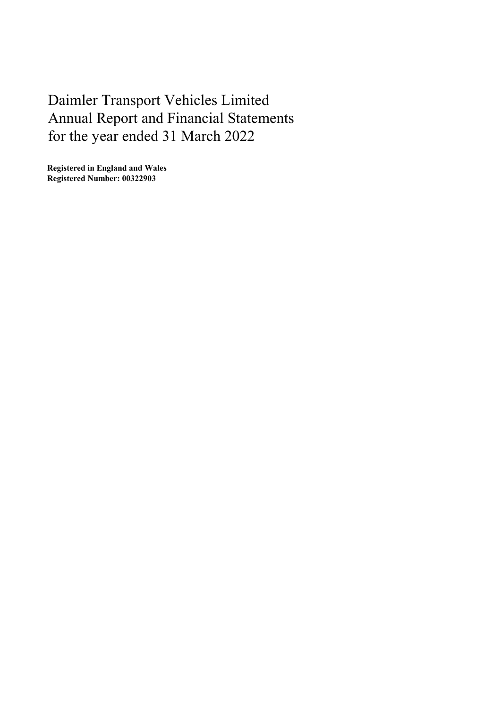Registered in England and Wales Registered Number: 00322903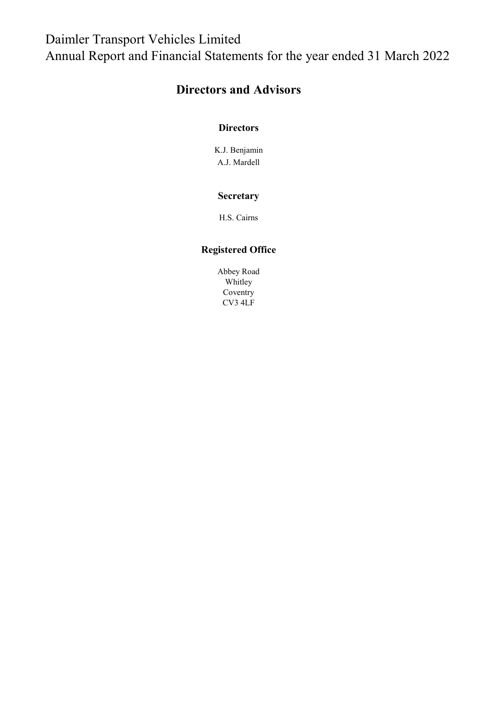# Directors and Advisors

# **Directors**

K.J. Benjamin A.J. Mardell

# **Secretary**

H.S. Cairns

# Registered Office

Abbey Road Whitley Coventry CV3 4LF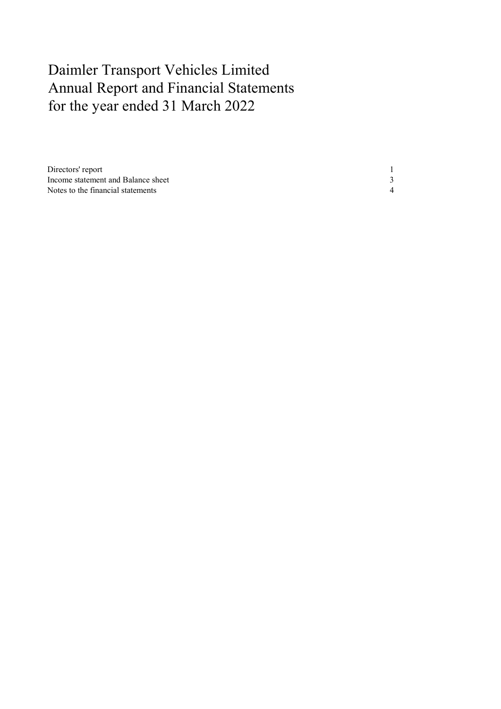| Directors' report                  |  |
|------------------------------------|--|
| Income statement and Balance sheet |  |
| Notes to the financial statements  |  |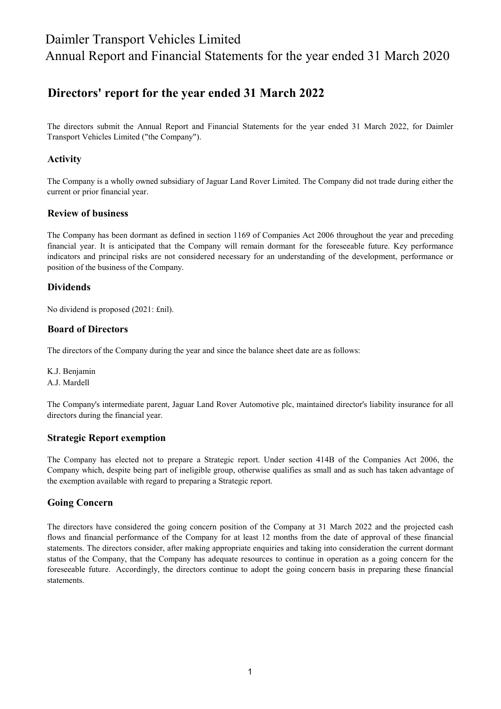# Directors' report for the year ended 31 March 2022

The directors submit the Annual Report and Financial Statements for the year ended 31 March 2022, for Daimler Transport Vehicles Limited ("the Company").

# Activity

The Company is a wholly owned subsidiary of Jaguar Land Rover Limited. The Company did not trade during either the current or prior financial year.

### Review of business

The Company has been dormant as defined in section 1169 of Companies Act 2006 throughout the year and preceding financial year. It is anticipated that the Company will remain dormant for the foreseeable future. Key performance indicators and principal risks are not considered necessary for an understanding of the development, performance or position of the business of the Company.

### Dividends

No dividend is proposed (2021: £nil).

#### Board of Directors

The directors of the Company during the year and since the balance sheet date are as follows:

K.J. Benjamin A.J. Mardell

The Company's intermediate parent, Jaguar Land Rover Automotive plc, maintained director's liability insurance for all directors during the financial year.

### Strategic Report exemption

The Company has elected not to prepare a Strategic report. Under section 414B of the Companies Act 2006, the Company which, despite being part of ineligible group, otherwise qualifies as small and as such has taken advantage of the exemption available with regard to preparing a Strategic report.

#### Going Concern

The directors have considered the going concern position of the Company at 31 March 2022 and the projected cash flows and financial performance of the Company for at least 12 months from the date of approval of these financial statements. The directors consider, after making appropriate enquiries and taking into consideration the current dormant status of the Company, that the Company has adequate resources to continue in operation as a going concern for the foreseeable future. Accordingly, the directors continue to adopt the going concern basis in preparing these financial statements.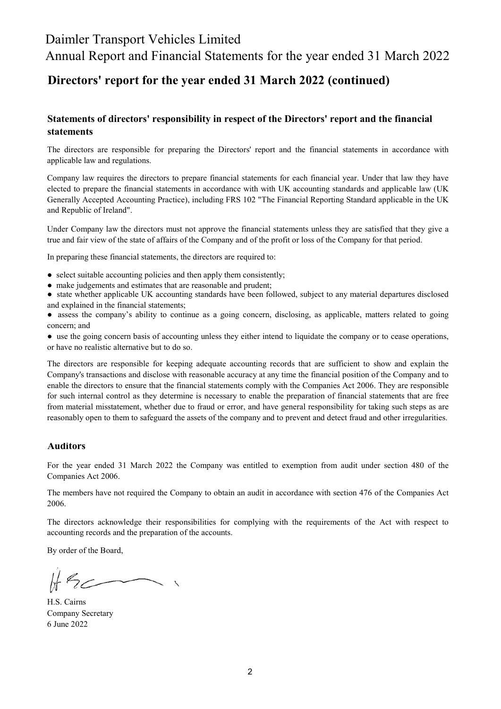# Daimler Transport Vehicles Limited

Annual Report and Financial Statements for the year ended 31 March 2022

# Directors' report for the year ended 31 March 2022 (continued)

# Statements of directors' responsibility in respect of the Directors' report and the financial statements

The directors are responsible for preparing the Directors' report and the financial statements in accordance with applicable law and regulations.

Company law requires the directors to prepare financial statements for each financial year. Under that law they have elected to prepare the financial statements in accordance with with UK accounting standards and applicable law (UK Generally Accepted Accounting Practice), including FRS 102 "The Financial Reporting Standard applicable in the UK and Republic of Ireland".

Under Company law the directors must not approve the financial statements unless they are satisfied that they give a true and fair view of the state of affairs of the Company and of the profit or loss of the Company for that period.

In preparing these financial statements, the directors are required to:

- select suitable accounting policies and then apply them consistently;
- make judgements and estimates that are reasonable and prudent;
- state whether applicable UK accounting standards have been followed, subject to any material departures disclosed and explained in the financial statements;
- assess the company's ability to continue as a going concern, disclosing, as applicable, matters related to going concern; and
- use the going concern basis of accounting unless they either intend to liquidate the company or to cease operations, or have no realistic alternative but to do so.

The directors are responsible for keeping adequate accounting records that are sufficient to show and explain the Company's transactions and disclose with reasonable accuracy at any time the financial position of the Company and to enable the directors to ensure that the financial statements comply with the Companies Act 2006. They are responsible for such internal control as they determine is necessary to enable the preparation of financial statements that are free from material misstatement, whether due to fraud or error, and have general responsibility for taking such steps as are reasonably open to them to safeguard the assets of the company and to prevent and detect fraud and other irregularities.

### Auditors

For the year ended 31 March 2022 the Company was entitled to exemption from audit under section 480 of the Companies Act 2006.

The members have not required the Company to obtain an audit in accordance with section 476 of the Companies Act 2006.

The directors acknowledge their responsibilities for complying with the requirements of the Act with respect to accounting records and the preparation of the accounts.

By order of the Board,

6 June 2022 Company Secretary H.S. Cairns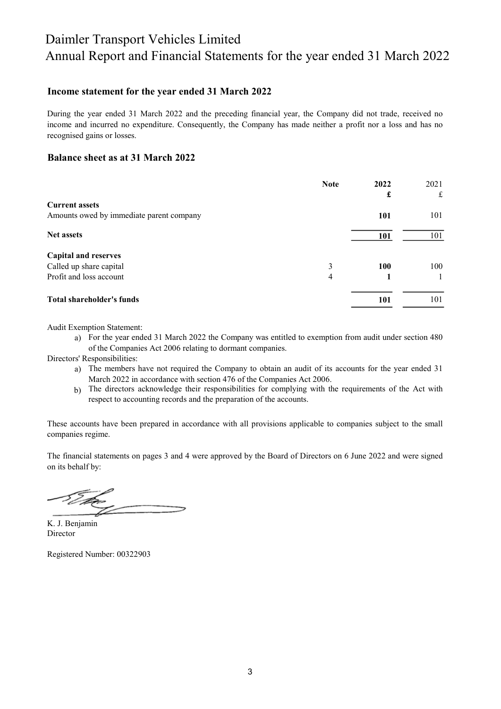### Income statement for the year ended 31 March 2022

During the year ended 31 March 2022 and the preceding financial year, the Company did not trade, received no income and incurred no expenditure. Consequently, the Company has made neither a profit nor a loss and has no recognised gains or losses.

#### Balance sheet as at 31 March 2022

|                                          | <b>Note</b> | 2022 | 2021 |
|------------------------------------------|-------------|------|------|
|                                          |             | £    | £    |
| <b>Current assets</b>                    |             |      |      |
| Amounts owed by immediate parent company |             | 101  | 101  |
| <b>Net assets</b>                        |             | 101  | 101  |
| <b>Capital and reserves</b>              |             |      |      |
| Called up share capital                  | 3           | 100  | 100  |
| Profit and loss account                  | 4           |      |      |
| Total shareholder's funds                |             | 101  | 101  |

Audit Exemption Statement:

a) For the year ended 31 March 2022 the Company was entitled to exemption from audit under section 480 of the Companies Act 2006 relating to dormant companies.

Directors' Responsibilities:

- a) The members have not required the Company to obtain an audit of its accounts for the year ended 31 March 2022 in accordance with section 476 of the Companies Act 2006.
- b) The directors acknowledge their responsibilities for complying with the requirements of the Act with respect to accounting records and the preparation of the accounts.

These accounts have been prepared in accordance with all provisions applicable to companies subject to the small companies regime.

The financial statements on pages 3 and 4 were approved by the Board of Directors on 6 June 2022 and were signed on its behalf by:

Director K. J. Benjamin

Registered Number: 00322903